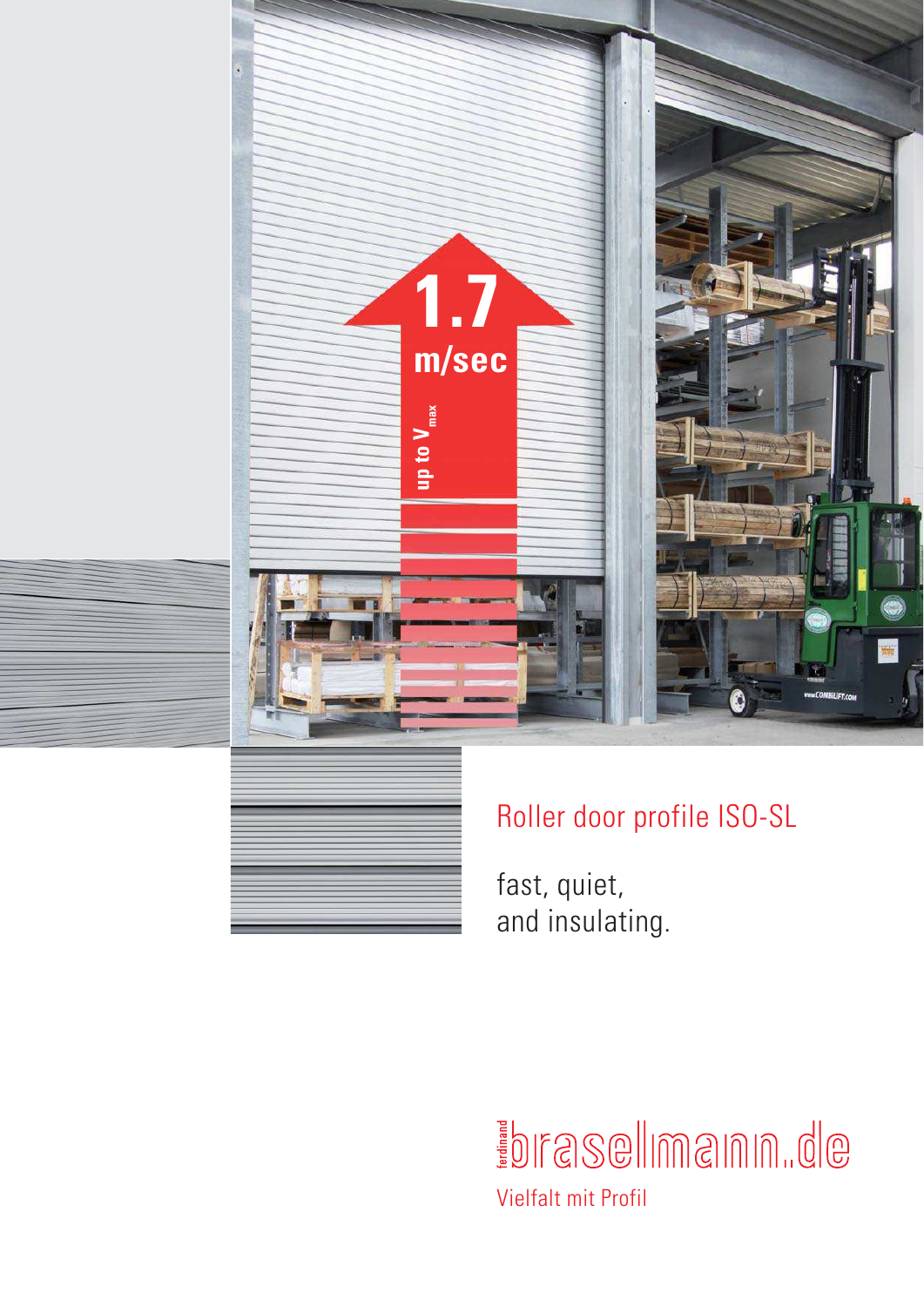



# Roller door profile ISO-SL

fast, quiet, and insulating.